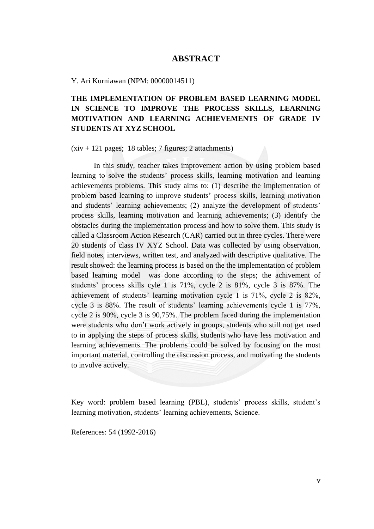## **ABSTRACT**

Y. Ari Kurniawan (NPM: 00000014511)

## **THE IMPLEMENTATION OF PROBLEM BASED LEARNING MODEL IN SCIENCE TO IMPROVE THE PROCESS SKILLS, LEARNING MOTIVATION AND LEARNING ACHIEVEMENTS OF GRADE IV STUDENTS AT XYZ SCHOOL**

 $(xiv + 121)$  pages; 18 tables; 7 figures; 2 attachments)

In this study, teacher takes improvement action by using problem based learning to solve the students' process skills, learning motivation and learning achievements problems. This study aims to: (1) describe the implementation of problem based learning to improve students" process skills, learning motivation and students' learning achievements; (2) analyze the development of students' process skills, learning motivation and learning achievements; (3) identify the obstacles during the implementation process and how to solve them. This study is called a Classroom Action Research (CAR) carried out in three cycles. There were 20 students of class IV XYZ School. Data was collected by using observation, field notes, interviews, written test, and analyzed with descriptive qualitative. The result showed: the learning process is based on the the implementation of problem based learning model was done according to the steps; the achivement of students" process skills cyle 1 is 71%, cycle 2 is 81%, cycle 3 is 87%. The achievement of students" learning motivation cycle 1 is 71%, cycle 2 is 82%, cycle 3 is 88%. The result of students" learning achievements cycle 1 is 77%, cycle 2 is 90%, cycle 3 is 90,75%. The problem faced during the implementation were students who don"t work actively in groups, students who still not get used to in applying the steps of process skills, students who have less motivation and learning achievements. The problems could be solved by focusing on the most important material, controlling the discussion process, and motivating the students to involve actively.

Key word: problem based learning (PBL), students' process skills, student's learning motivation, students' learning achievements, Science.

References: 54 (1992-2016)